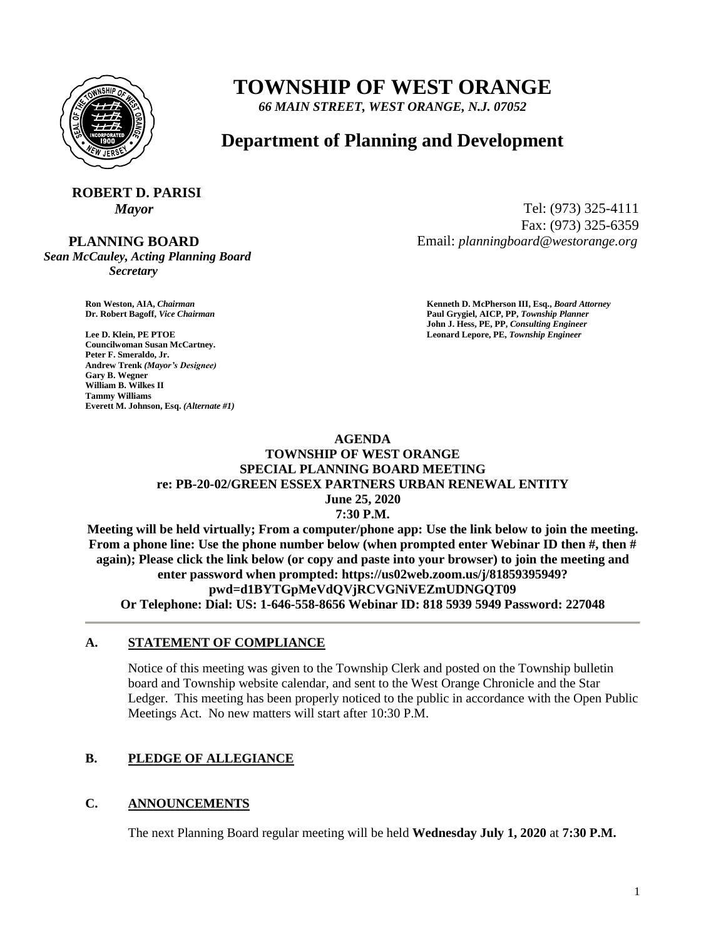

# **TOWNSHIP OF WEST ORANGE**

*66 MAIN STREET, WEST ORANGE, N.J. 07052*

## **Department of Planning and Development**

### **ROBERT D. PARISI** *Mayor* Tel: (973) 325-4111

 **PLANNING BOARD**

*Sean McCauley, Acting Planning Board Secretary*

Fax: (973) 325-6359 Email: *planningboard@westorange.org*

**Councilwoman Susan McCartney. Peter F. Smeraldo, Jr. Andrew Trenk** *(Mayor's Designee)* **Gary B. Wegner William B. Wilkes II Tammy Williams Everett M. Johnson, Esq.** *(Alternate #1)*

**Ron Weston, AIA,** *Chairman* **Kenneth D. McPherson III, Esq.,** *Board Attorney* **Dr. Robert Bagoff,** *Vice Chairman* **Paul Grygiel, AICP, PP,** *Township Planner* **John J. Hess, PE, PP,** *Consulting Engineer* **Lee D. Klein, PE PTOE Leonard Lepore, PE,** *Township Engineer*

#### **AGENDA TOWNSHIP OF WEST ORANGE SPECIAL PLANNING BOARD MEETING re: PB-20-02/GREEN ESSEX PARTNERS URBAN RENEWAL ENTITY June 25, 2020 7:30 P.M.**

**Meeting will be held virtually; From a computer/phone app: Use the link below to join the meeting. From a phone line: Use the phone number below (when prompted enter Webinar ID then #, then # again); Please click the link below (or copy and paste into your browser) to join the meeting and enter password when prompted: https://us02web.zoom.us/j/81859395949? pwd=d1BYTGpMeVdQVjRCVGNiVEZmUDNGQT09 Or Telephone: Dial: US: 1-646-558-8656 Webinar ID: 818 5939 5949 Password: 227048**

## **A. STATEMENT OF COMPLIANCE**

Notice of this meeting was given to the Township Clerk and posted on the Township bulletin board and Township website calendar, and sent to the West Orange Chronicle and the Star Ledger. This meeting has been properly noticed to the public in accordance with the Open Public Meetings Act. No new matters will start after 10:30 P.M.

## **B. PLEDGE OF ALLEGIANCE**

## **C. ANNOUNCEMENTS**

The next Planning Board regular meeting will be held **Wednesday July 1, 2020** at **7:30 P.M.**